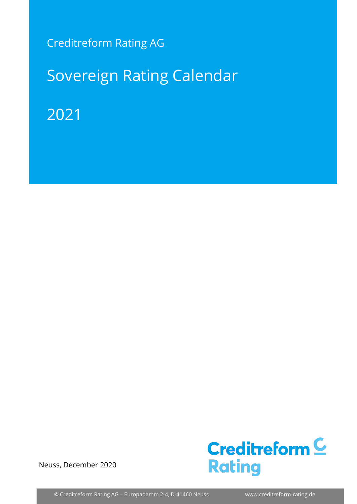Creditreform Rating AG

## Sovereign Rating Calendar 2021



Neuss, December 2020

© Creditreform Rating AG – Europadamm 2-4, D-41460 Neuss www.creditreform-rating.de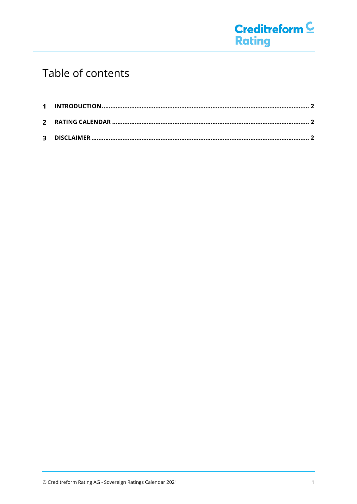# Creditreform C<br>Rating

### Table of contents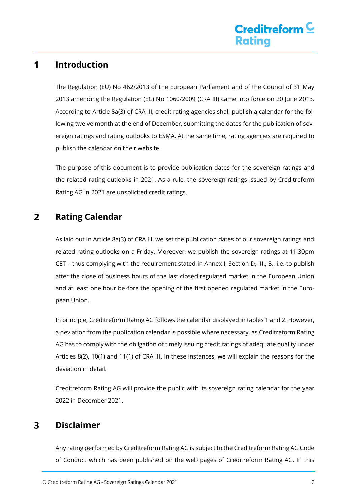## Creditreform  $\underline{\mathsf{C}}$ Ratina

#### <span id="page-2-0"></span> $\mathbf 1$ **Introduction**

The Regulation (EU) No 462/2013 of the European Parliament and of the Council of 31 May 2013 amending the Regulation (EC) No 1060/2009 (CRA III) came into force on 20 June 2013. According to Article 8a(3) of CRA III, credit rating agencies shall publish a calendar for the following twelve month at the end of December, submitting the dates for the publication of sovereign ratings and rating outlooks to ESMA. At the same time, rating agencies are required to publish the calendar on their website.

The purpose of this document is to provide publication dates for the sovereign ratings and the related rating outlooks in 2021. As a rule, the sovereign ratings issued by Creditreform Rating AG in 2021 are unsolicited credit ratings.

#### <span id="page-2-1"></span> $2<sup>1</sup>$ **Rating Calendar**

As laid out in Article 8a(3) of CRA III, we set the publication dates of our sovereign ratings and related rating outlooks on a Friday. Moreover, we publish the sovereign ratings at 11:30pm CET – thus complying with the requirement stated in Annex I, Section D, III., 3., i.e. to publish after the close of business hours of the last closed regulated market in the European Union and at least one hour be-fore the opening of the first opened regulated market in the European Union.

In principle, Creditreform Rating AG follows the calendar displayed in tables 1 and 2. However, a deviation from the publication calendar is possible where necessary, as Creditreform Rating AG has to comply with the obligation of timely issuing credit ratings of adequate quality under Articles 8(2), 10(1) and 11(1) of CRA III. In these instances, we will explain the reasons for the deviation in detail.

Creditreform Rating AG will provide the public with its sovereign rating calendar for the year 2022 in December 2021.

#### <span id="page-2-2"></span> $\overline{\mathbf{3}}$ **Disclaimer**

Any rating performed by Creditreform Rating AG is subject to the Creditreform Rating AG Code of Conduct which has been published on the web pages of Creditreform Rating AG. In this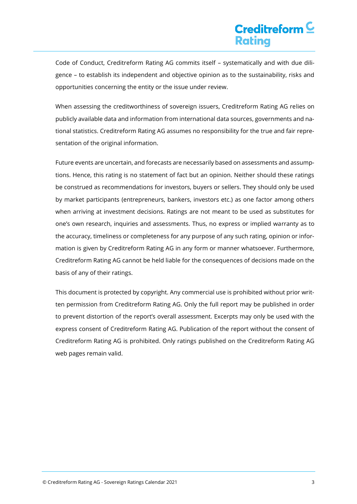## Creditreform  $\subseteq$ Ratina

Code of Conduct, Creditreform Rating AG commits itself – systematically and with due diligence – to establish its independent and objective opinion as to the sustainability, risks and opportunities concerning the entity or the issue under review.

When assessing the creditworthiness of sovereign issuers, Creditreform Rating AG relies on publicly available data and information from international data sources, governments and national statistics. Creditreform Rating AG assumes no responsibility for the true and fair representation of the original information.

Future events are uncertain, and forecasts are necessarily based on assessments and assumptions. Hence, this rating is no statement of fact but an opinion. Neither should these ratings be construed as recommendations for investors, buyers or sellers. They should only be used by market participants (entrepreneurs, bankers, investors etc.) as one factor among others when arriving at investment decisions. Ratings are not meant to be used as substitutes for one's own research, inquiries and assessments. Thus, no express or implied warranty as to the accuracy, timeliness or completeness for any purpose of any such rating, opinion or information is given by Creditreform Rating AG in any form or manner whatsoever. Furthermore, Creditreform Rating AG cannot be held liable for the consequences of decisions made on the basis of any of their ratings.

This document is protected by copyright. Any commercial use is prohibited without prior written permission from Creditreform Rating AG. Only the full report may be published in order to prevent distortion of the report's overall assessment. Excerpts may only be used with the express consent of Creditreform Rating AG. Publication of the report without the consent of Creditreform Rating AG is prohibited. Only ratings published on the Creditreform Rating AG web pages remain valid.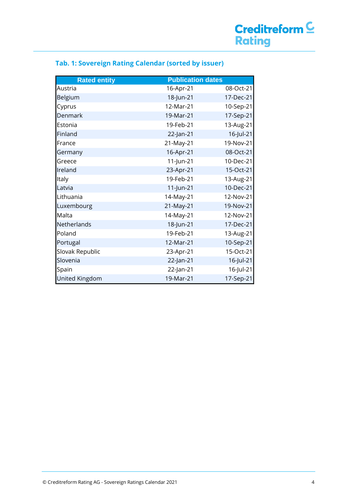| <b>Rated entity</b> | <b>Publication dates</b> |           |
|---------------------|--------------------------|-----------|
| Austria             | 16-Apr-21                | 08-Oct-21 |
| Belgium             | 18-Jun-21                | 17-Dec-21 |
| Cyprus              | 12-Mar-21                | 10-Sep-21 |
| Denmark             | 19-Mar-21                | 17-Sep-21 |
| Estonia             | 19-Feb-21                | 13-Aug-21 |
| Finland             | 22-Jan-21                | 16-Jul-21 |
| France              | 21-May-21                | 19-Nov-21 |
| Germany             | 16-Apr-21                | 08-Oct-21 |
| Greece              | 11-Jun-21                | 10-Dec-21 |
| Ireland             | 23-Apr-21                | 15-Oct-21 |
| Italy               | 19-Feb-21                | 13-Aug-21 |
| Latvia              | 11-Jun-21                | 10-Dec-21 |
| Lithuania           | 14-May-21                | 12-Nov-21 |
| Luxembourg          | 21-May-21                | 19-Nov-21 |
| Malta               | 14-May-21                | 12-Nov-21 |
| Netherlands         | 18-Jun-21                | 17-Dec-21 |
| Poland              | 19-Feb-21                | 13-Aug-21 |
| Portugal            | 12-Mar-21                | 10-Sep-21 |
| Slovak Republic     | 23-Apr-21                | 15-Oct-21 |
| Slovenia            | 22-Jan-21                | 16-Jul-21 |
| Spain               | 22-Jan-21                | 16-Jul-21 |
| United Kingdom      | 19-Mar-21                | 17-Sep-21 |

### **Tab. 1: Sovereign Rating Calendar (sorted by issuer)**